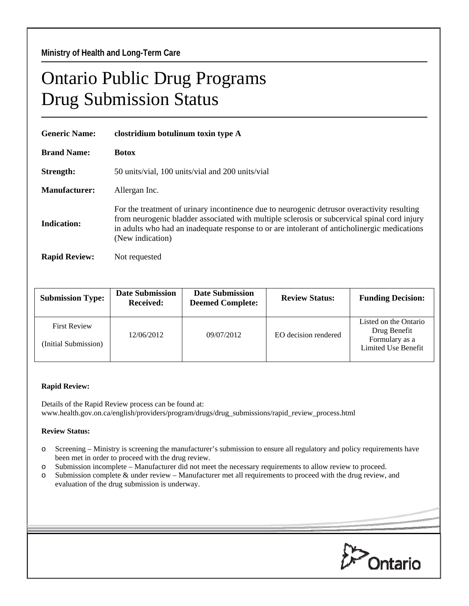## Ontario Public Drug Programs Drug Submission Status

| <b>Generic Name:</b> | clostridium botulinum toxin type A                                                                                                                                                                                                                                                                              |  |  |  |
|----------------------|-----------------------------------------------------------------------------------------------------------------------------------------------------------------------------------------------------------------------------------------------------------------------------------------------------------------|--|--|--|
| <b>Brand Name:</b>   | <b>Botox</b>                                                                                                                                                                                                                                                                                                    |  |  |  |
| Strength:            | 50 units/vial, 100 units/vial and 200 units/vial                                                                                                                                                                                                                                                                |  |  |  |
| <b>Manufacturer:</b> | Allergan Inc.                                                                                                                                                                                                                                                                                                   |  |  |  |
| Indication:          | For the treatment of urinary incontinence due to neurogenic detrusor overactivity resulting<br>from neurogenic bladder associated with multiple sclerosis or subcervical spinal cord injury<br>in adults who had an inadequate response to or are intolerant of anticholinergic medications<br>(New indication) |  |  |  |
| <b>Rapid Review:</b> | Not requested                                                                                                                                                                                                                                                                                                   |  |  |  |

| <b>Submission Type:</b>                     | <b>Date Submission</b><br><b>Received:</b> | <b>Date Submission</b><br><b>Deemed Complete:</b> | <b>Review Status:</b> | <b>Funding Decision:</b>                                                       |
|---------------------------------------------|--------------------------------------------|---------------------------------------------------|-----------------------|--------------------------------------------------------------------------------|
| <b>First Review</b><br>(Initial Submission) | 12/06/2012                                 | 09/07/2012                                        | EO decision rendered  | Listed on the Ontario<br>Drug Benefit<br>Formulary as a<br>Limited Use Benefit |

## **Rapid Review:**

Details of the Rapid Review process can be found at: www.health.gov.on.ca/english/providers/program/drugs/drug\_submissions/rapid\_review\_process.html

## **Review Status:**

- o Screening Ministry is screening the manufacturer's submission to ensure all regulatory and policy requirements have been met in order to proceed with the drug review.
- o Submission incomplete Manufacturer did not meet the necessary requirements to allow review to proceed.
- o Submission complete & under review Manufacturer met all requirements to proceed with the drug review, and evaluation of the drug submission is underway.